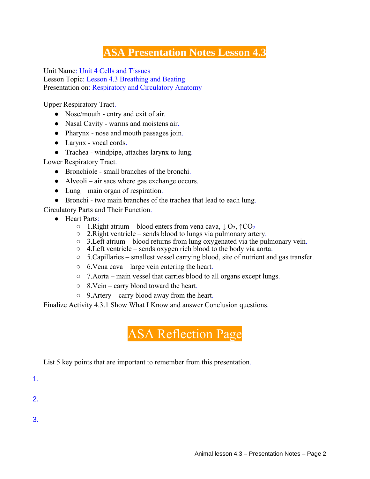## **ASA Presentation Notes Lesson 4.3**

Unit Name: Unit 4 Cells and Tissues Lesson Topic: Lesson 4.3 Breathing and Beating Presentation on: Respiratory and Circulatory Anatomy

Upper Respiratory Tract.

- Nose/mouth entry and exit of air.
- Nasal Cavity warms and moistens air.
- Pharynx nose and mouth passages join.
- Larynx vocal cords.
- Trachea windpipe, attaches larynx to lung.

Lower Respiratory Tract.

- Bronchiole small branches of the bronchi.
- Alveoli air sacs where gas exchange occurs.
- Lung main organ of respiration.
- Bronchi two main branches of the trachea that lead to each lung.

Circulatory Parts and Their Function.

- Heart Parts:
	- $\circ$  1. Right atrium blood enters from vena cava,  $\downarrow$  O<sub>2</sub>,  $\uparrow$  CO<sub>2</sub>
	- 2.Right ventricle sends blood to lungs via pulmonary artery.
	- 3.Left atrium blood returns from lung oxygenated via the pulmonary vein.
	- 4.Left ventricle sends oxygen rich blood to the body via aorta.
	- 5.Capillaries smallest vessel carrying blood, site of nutrient and gas transfer.
	- $\circ$  6. Vena cava large vein entering the heart.
	- 7.Aorta main vessel that carries blood to all organs except lungs.
	- 8.Vein carry blood toward the heart.
	- 9.Artery carry blood away from the heart.

Finalize Activity 4.3.1 Show What I Know and answer Conclusion questions.

## ASA Reflection Page

List 5 key points that are important to remember from this presentation.

1.

2.

3.